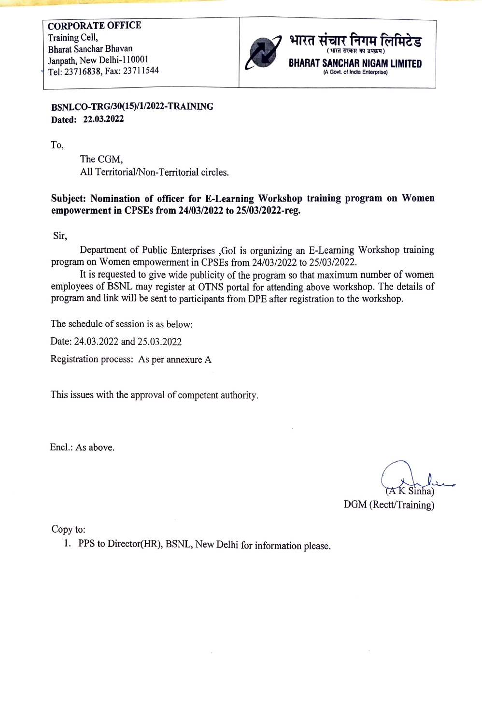

## BSNLCO-TRG/30(15)/1/2022-TRAININNG Dated: 22.03.2022

To,

The CGM, All Territorial/Non-Territorial circles.

## Subject: Nomination of officer for E-Learning Workshop training program on Women empowerment in CPSEs from 24/03/2022 to 25/03/2022-reg.

Sir,

Department of Public Enterprises ,Gol is organizing an E-Learning Workshop training program on Women empowerment in CPSEs from 24/03/2022 to 25/03/2022.

It is requested to give wide publicity of the program so that maximum number of women employees of BSNL may register at OTNS portal for attending above workshop. The details of program and link will be sent to participants from DPE after registration to the workshop.

The schedule of session is as below:

Date: 24.03.2022 and 25.03.2022

Registration process: As per annexure A

This issues with the approval of competent authority.

Encl.: As above.

DGM (Rectt/Training)

Copy to:

1. PPS to Director(HR), BSNL, New Delhi for information please.